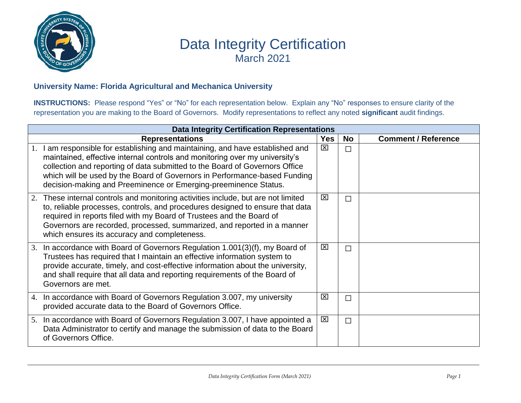

## Data Integrity Certification March 2021

## **University Name: Florida Agricultural and Mechanica University**

**INSTRUCTIONS:** Please respond "Yes" or "No" for each representation below. Explain any "No" responses to ensure clarity of the representation you are making to the Board of Governors. Modify representations to reflect any noted **significant** audit findings.

| <b>Data Integrity Certification Representations</b> |                                                                                                                                                                                                                                                                                                                                                                                              |                         |    |                            |  |  |
|-----------------------------------------------------|----------------------------------------------------------------------------------------------------------------------------------------------------------------------------------------------------------------------------------------------------------------------------------------------------------------------------------------------------------------------------------------------|-------------------------|----|----------------------------|--|--|
|                                                     | <b>Representations</b>                                                                                                                                                                                                                                                                                                                                                                       | <b>Yes</b>              | No | <b>Comment / Reference</b> |  |  |
|                                                     | 1. I am responsible for establishing and maintaining, and have established and<br>maintained, effective internal controls and monitoring over my university's<br>collection and reporting of data submitted to the Board of Governors Office<br>which will be used by the Board of Governors in Performance-based Funding<br>decision-making and Preeminence or Emerging-preeminence Status. | $\boxtimes$             |    |                            |  |  |
| 2.                                                  | These internal controls and monitoring activities include, but are not limited<br>to, reliable processes, controls, and procedures designed to ensure that data<br>required in reports filed with my Board of Trustees and the Board of<br>Governors are recorded, processed, summarized, and reported in a manner<br>which ensures its accuracy and completeness.                           | ⊠                       | П  |                            |  |  |
| 3.                                                  | In accordance with Board of Governors Regulation 1.001(3)(f), my Board of<br>Trustees has required that I maintain an effective information system to<br>provide accurate, timely, and cost-effective information about the university,<br>and shall require that all data and reporting requirements of the Board of<br>Governors are met.                                                  | ⊠                       | П  |                            |  |  |
|                                                     | 4. In accordance with Board of Governors Regulation 3.007, my university<br>provided accurate data to the Board of Governors Office.                                                                                                                                                                                                                                                         | ⊠                       | П  |                            |  |  |
| 5.                                                  | In accordance with Board of Governors Regulation 3.007, I have appointed a<br>Data Administrator to certify and manage the submission of data to the Board<br>of Governors Office.                                                                                                                                                                                                           | $\overline{\mathbf{x}}$ | П  |                            |  |  |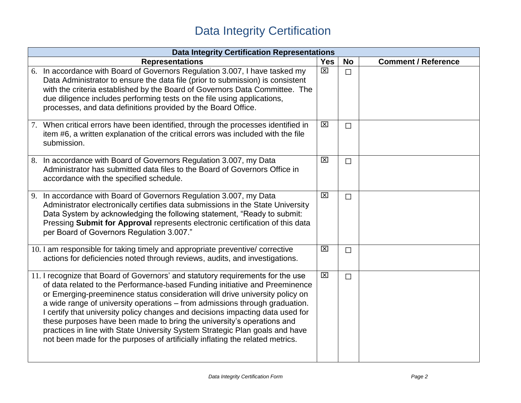## Data Integrity Certification

| <b>Data Integrity Certification Representations</b>                                                                                                                                                                                                                                                                                                                                                                                                                                                                                                                                                                                                        |             |           |                            |  |  |
|------------------------------------------------------------------------------------------------------------------------------------------------------------------------------------------------------------------------------------------------------------------------------------------------------------------------------------------------------------------------------------------------------------------------------------------------------------------------------------------------------------------------------------------------------------------------------------------------------------------------------------------------------------|-------------|-----------|----------------------------|--|--|
| <b>Representations</b>                                                                                                                                                                                                                                                                                                                                                                                                                                                                                                                                                                                                                                     | <b>Yes</b>  | <b>No</b> | <b>Comment / Reference</b> |  |  |
| 6. In accordance with Board of Governors Regulation 3.007, I have tasked my<br>Data Administrator to ensure the data file (prior to submission) is consistent<br>with the criteria established by the Board of Governors Data Committee. The<br>due diligence includes performing tests on the file using applications,<br>processes, and data definitions provided by the Board Office.                                                                                                                                                                                                                                                                   | $\boxtimes$ | $\Box$    |                            |  |  |
| 7. When critical errors have been identified, through the processes identified in<br>item #6, a written explanation of the critical errors was included with the file<br>submission.                                                                                                                                                                                                                                                                                                                                                                                                                                                                       | $\boxtimes$ | $\Box$    |                            |  |  |
| In accordance with Board of Governors Regulation 3.007, my Data<br>8.<br>Administrator has submitted data files to the Board of Governors Office in<br>accordance with the specified schedule.                                                                                                                                                                                                                                                                                                                                                                                                                                                             | $\boxtimes$ | $\Box$    |                            |  |  |
| In accordance with Board of Governors Regulation 3.007, my Data<br>9.<br>Administrator electronically certifies data submissions in the State University<br>Data System by acknowledging the following statement, "Ready to submit:<br>Pressing Submit for Approval represents electronic certification of this data<br>per Board of Governors Regulation 3.007."                                                                                                                                                                                                                                                                                          | $\boxtimes$ | $\Box$    |                            |  |  |
| 10. I am responsible for taking timely and appropriate preventive/ corrective<br>actions for deficiencies noted through reviews, audits, and investigations.                                                                                                                                                                                                                                                                                                                                                                                                                                                                                               | $\boxtimes$ | $\Box$    |                            |  |  |
| 11. I recognize that Board of Governors' and statutory requirements for the use<br>of data related to the Performance-based Funding initiative and Preeminence<br>or Emerging-preeminence status consideration will drive university policy on<br>a wide range of university operations – from admissions through graduation.<br>I certify that university policy changes and decisions impacting data used for<br>these purposes have been made to bring the university's operations and<br>practices in line with State University System Strategic Plan goals and have<br>not been made for the purposes of artificially inflating the related metrics. | 区           | $\Box$    |                            |  |  |